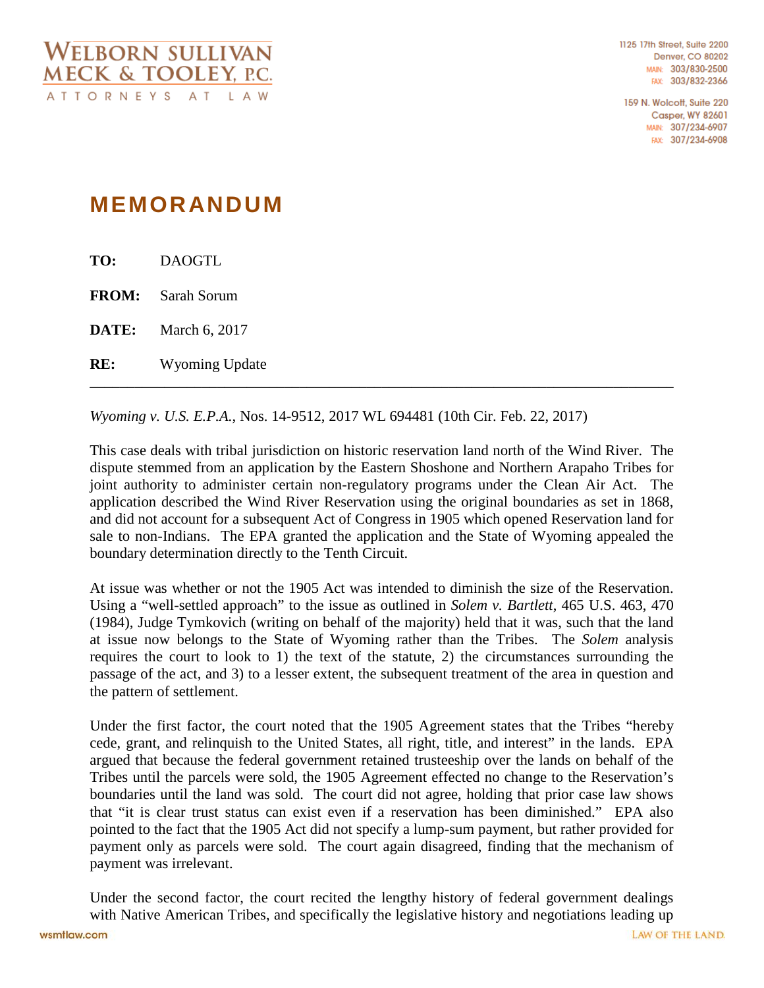1125 17th Street, Suite 2200 **Denver, CO 80202** MAIN: 303/830-2500 FAX: 303/832-2366

159 N. Wolcott, Suite 220 **Casper, WY 82601** MAIN: 307/234-6907 FAX: 307/234-6908

## **MEMORANDUM**

| RE:   | <b>Wyoming Update</b>    |
|-------|--------------------------|
| DATE: | March 6, 2017            |
|       | <b>FROM:</b> Sarah Sorum |
| TO:   | <b>DAOGTL</b>            |

*Wyoming v. U.S. E.P.A.*, Nos. 14-9512, 2017 WL 694481 (10th Cir. Feb. 22, 2017)

This case deals with tribal jurisdiction on historic reservation land north of the Wind River. The dispute stemmed from an application by the Eastern Shoshone and Northern Arapaho Tribes for joint authority to administer certain non-regulatory programs under the Clean Air Act. The application described the Wind River Reservation using the original boundaries as set in 1868, and did not account for a subsequent Act of Congress in 1905 which opened Reservation land for sale to non-Indians. The EPA granted the application and the State of Wyoming appealed the boundary determination directly to the Tenth Circuit.

At issue was whether or not the 1905 Act was intended to diminish the size of the Reservation. Using a "well-settled approach" to the issue as outlined in *Solem v. Bartlett*, 465 U.S. 463, 470 (1984), Judge Tymkovich (writing on behalf of the majority) held that it was, such that the land at issue now belongs to the State of Wyoming rather than the Tribes. The *Solem* analysis requires the court to look to 1) the text of the statute, 2) the circumstances surrounding the passage of the act, and 3) to a lesser extent, the subsequent treatment of the area in question and the pattern of settlement.

Under the first factor, the court noted that the 1905 Agreement states that the Tribes "hereby cede, grant, and relinquish to the United States, all right, title, and interest" in the lands. EPA argued that because the federal government retained trusteeship over the lands on behalf of the Tribes until the parcels were sold, the 1905 Agreement effected no change to the Reservation's boundaries until the land was sold. The court did not agree, holding that prior case law shows that "it is clear trust status can exist even if a reservation has been diminished." EPA also pointed to the fact that the 1905 Act did not specify a lump-sum payment, but rather provided for payment only as parcels were sold. The court again disagreed, finding that the mechanism of payment was irrelevant.

Under the second factor, the court recited the lengthy history of federal government dealings with Native American Tribes, and specifically the legislative history and negotiations leading up